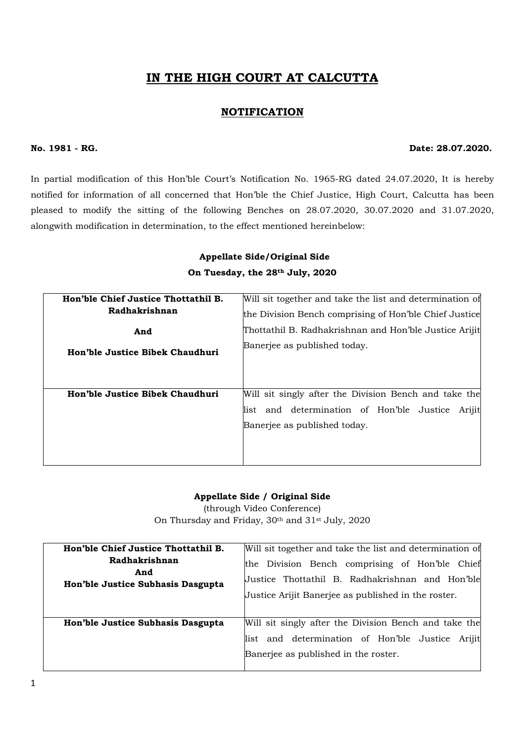# IN THE HIGH COURT AT CALCUTTA

# NOTIFICATION

#### No. 1981 - RG. Date: 28.07.2020.

In partial modification of this Hon'ble Court's Notification No. 1965-RG dated 24.07.2020, It is hereby notified for information of all concerned that Hon'ble the Chief Justice, High Court, Calcutta has been pleased to modify the sitting of the following Benches on 28.07.2020, 30.07.2020 and 31.07.2020, alongwith modification in determination, to the effect mentioned hereinbelow:

| Appellate Side/Original Side    |
|---------------------------------|
| On Tuesday, the 28th July, 2020 |

| Hon'ble Chief Justice Thottathil B. | Will sit together and take the list and determination of |
|-------------------------------------|----------------------------------------------------------|
| Radhakrishnan                       | the Division Bench comprising of Hon'ble Chief Justice   |
| And                                 | Thottathil B. Radhakrishnan and Hon'ble Justice Arijit   |
| Hon'ble Justice Bibek Chaudhuri     | Banerjee as published today.                             |
|                                     |                                                          |
| Hon'ble Justice Bibek Chaudhuri     | Will sit singly after the Division Bench and take the    |
|                                     | and determination of Hon'ble Justice<br>list<br>Arijit   |
|                                     | Banerjee as published today.                             |
|                                     |                                                          |
|                                     |                                                          |

### Appellate Side / Original Side

(through Video Conference) On Thursday and Friday, 30<sup>th</sup> and 31<sup>st</sup> July, 2020

| Hon'ble Chief Justice Thottathil B.                       | Will sit together and take the list and determination of                                                                                                 |
|-----------------------------------------------------------|----------------------------------------------------------------------------------------------------------------------------------------------------------|
| Radhakrishnan<br>And<br>Hon'ble Justice Subhasis Dasgupta | the Division Bench comprising of Hon'ble Chief<br>Justice Thottathil B. Radhakrishnan and Hon'ble<br>Justice Arijit Banerjee as published in the roster. |
| Hon'ble Justice Subhasis Dasgupta                         | Will sit singly after the Division Bench and take the                                                                                                    |
|                                                           | and determination of Hon'ble Justice Arijit<br>list<br>Banerjee as published in the roster.                                                              |
|                                                           |                                                                                                                                                          |